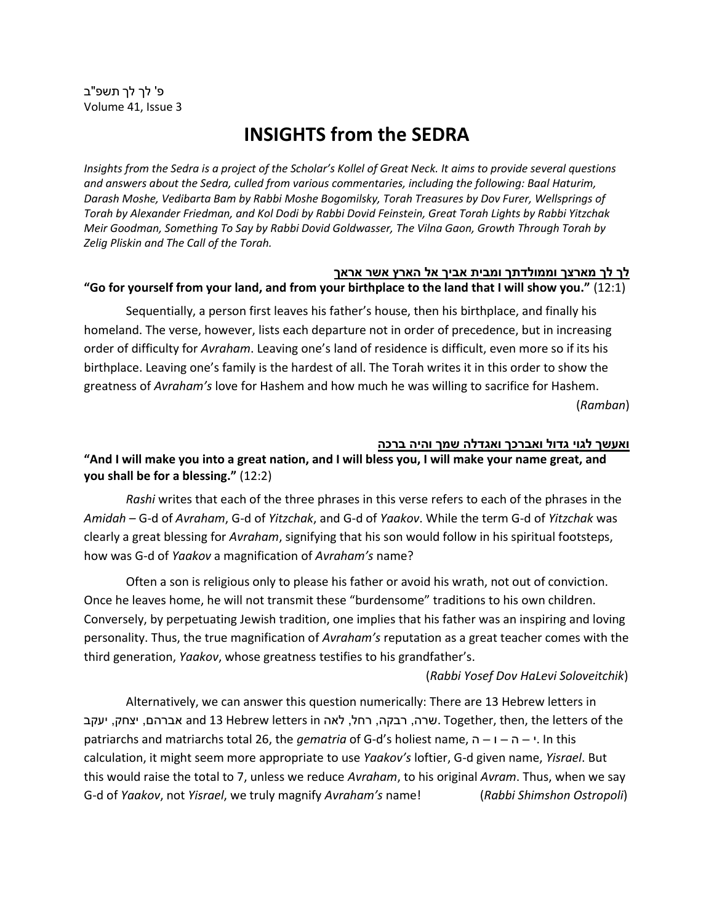# **INSIGHTS from the SEDRA**

*Insights from the Sedra is a project of the Scholar's Kollel of Great Neck. It aims to provide several questions and answers about the Sedra, culled from various commentaries, including the following: Baal Haturim, Darash Moshe, Vedibarta Bam by Rabbi Moshe Bogomilsky, Torah Treasures by Dov Furer, Wellsprings of Torah by Alexander Friedman, and Kol Dodi by Rabbi Dovid Feinstein, Great Torah Lights by Rabbi Yitzchak Meir Goodman, Something To Say by Rabbi Dovid Goldwasser, The Vilna Gaon, Growth Through Torah by Zelig Pliskin and The Call of the Torah.*

#### **לך לך מארצך וממולדתך ומבית אביך אל הארץ אשר אראך**

#### **"Go for yourself from your land, and from your birthplace to the land that I will show you."** (12:1)

Sequentially, a person first leaves his father's house, then his birthplace, and finally his homeland. The verse, however, lists each departure not in order of precedence, but in increasing order of difficulty for *Avraham*. Leaving one's land of residence is difficult, even more so if its his birthplace. Leaving one's family is the hardest of all. The Torah writes it in this order to show the greatness of *Avraham's* love for Hashem and how much he was willing to sacrifice for Hashem. (*Ramban*)

#### **ואעשך לגוי גדול ואברכך ואגדלה שמך והיה ברכה**

**"And I will make you into a great nation, and I will bless you, I will make your name great, and you shall be for a blessing."** (12:2)

*Rashi* writes that each of the three phrases in this verse refers to each of the phrases in the *Amidah* – G-d of *Avraham*, G-d of *Yitzchak*, and G-d of *Yaakov*. While the term G-d of *Yitzchak* was clearly a great blessing for *Avraham*, signifying that his son would follow in his spiritual footsteps, how was G-d of *Yaakov* a magnification of *Avraham's* name?

Often a son is religious only to please his father or avoid his wrath, not out of conviction. Once he leaves home, he will not transmit these "burdensome" traditions to his own children. Conversely, by perpetuating Jewish tradition, one implies that his father was an inspiring and loving personality. Thus, the true magnification of *Avraham's* reputation as a great teacher comes with the third generation, *Yaakov*, whose greatness testifies to his grandfather's.

#### (*Rabbi Yosef Dov HaLevi Soloveitchik*)

Alternatively, we can answer this question numerically: There are 13 Hebrew letters in יעקב ,אברהם ,יצחק, יעקב and 13 Hebrew letters in הל, לאה ,רבקה ,רחל ,רבקה ,רבקה ,רשר ,יעקב patriarchs and matriarchs total 26, the *gematria* of G-d's holiest name, ה – ו – ה – י. In this calculation, it might seem more appropriate to use *Yaakov's* loftier, G-d given name, *Yisrael*. But this would raise the total to 7, unless we reduce *Avraham*, to his original *Avram*. Thus, when we say G-d of *Yaakov*, not *Yisrael*, we truly magnify *Avraham's* name! (*Rabbi Shimshon Ostropoli*)